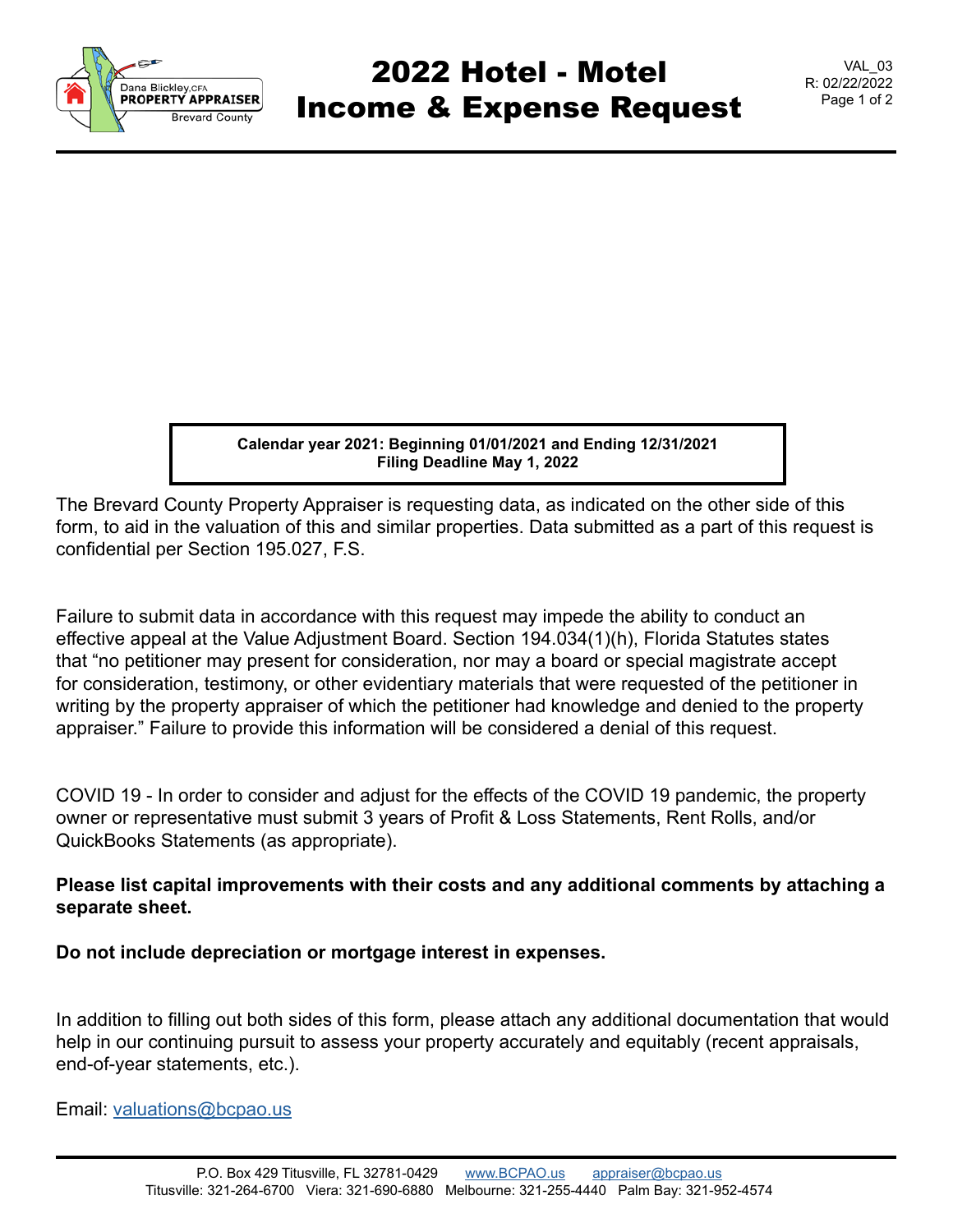

## 2022 Hotel - Motel Income & Expense Request

VAL\_03 R: 02/22/2022 Page 1 of 2

**Calendar year 2021: Beginning 01/01/2021 and Ending 12/31/2021 Filing Deadline May 1, 2022**

The Brevard County Property Appraiser is requesting data, as indicated on the other side of this form, to aid in the valuation of this and similar properties. Data submitted as a part of this request is confidential per Section 195.027, F.S.

Failure to submit data in accordance with this request may impede the ability to conduct an effective appeal at the Value Adjustment Board. Section 194.034(1)(h), Florida Statutes states that "no petitioner may present for consideration, nor may a board or special magistrate accept for consideration, testimony, or other evidentiary materials that were requested of the petitioner in writing by the property appraiser of which the petitioner had knowledge and denied to the property appraiser." Failure to provide this information will be considered a denial of this request.

COVID 19 - In order to consider and adjust for the effects of the COVID 19 pandemic, the property owner or representative must submit 3 years of Profit & Loss Statements, Rent Rolls, and/or QuickBooks Statements (as appropriate).

## **Please list capital improvements with their costs and any additional comments by attaching a separate sheet.**

**Do not include depreciation or mortgage interest in expenses.**

In addition to filling out both sides of this form, please attach any additional documentation that would help in our continuing pursuit to assess your property accurately and equitably (recent appraisals, end-of-year statements, etc.).

Email: [valuations@bcpao.us](mailto: valuations@bcpao.us)